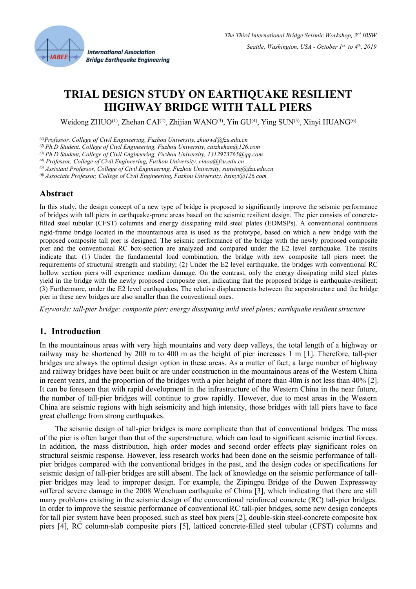

# **TRIAL DESIGN STUDY ON EARTHQUAKE RESILIENT HIGHWAY BRIDGE WITH TALL PIERS**

Weidong ZHUO<sup>(1)</sup>, Zhehan CAI<sup>(2)</sup>, Zhijian WANG<sup>(3)</sup>, Yin GU<sup>(4)</sup>, Ying SUN<sup>(5)</sup>, Xinyi HUANG<sup>(6)</sup>

*(1)Professor, College of CivilEngineering, Fuzhou University, zhuowd@fzu.edu.cn*

*(2) Ph.D Student, College of Civil Engineering, Fuzhou University, caizhehan@126.com*

*(3) Ph.D Student, College of Civil Engineering, Fuzhou University, 1312973765@qq.com*

*(4) Professor, College of Civil Engineering, Fuzhou University, cinoa@fzu.edu.cn*

*(5) Assistant Professor, College of Civil Engineering, Fuzhou University, sunying@fzu.edu.cn*

*(6) Associate Professor, College of CivilEngineering, Fuzhou University, hxinyi@126.com*

## **Abstract**

In this study, the design concept of a new type of bridge is proposed to significantly improve the seismic performance of bridges with tall piers in earthquake-prone areas based on the seismic resilient design. The pier consists of concretefilled steel tubular (CFST) columns and energy dissipating mild steel plates (EDMSPs). A conventional continuous rigid-frame bridge located in the mountainous area isused as the prototype, based on which a new bridge with the proposed composite tall pier is designed. The seismic performance of the bridge with the newly proposed composite pier and the conventional RC box-section are analyzed and compared under the E2 level earthquake. The results indicate that: (1) Under the fundamental load combination, the bridge with new composite tall piers meet the requirements of structural strength and stability; (2) Under the E2 level earthquake, the bridges with conventional RC hollow section piers will experience medium damage. On the contrast, only the energy dissipating mild steel plates yield in the bridge with the newly proposed composite pier, indicating that the proposed bridge isearthquake-resilient; (3) Furthermore, under the E2 level earthquakes, The relative displacements between the superstructure and the bridge pier in these new bridges are also smaller than the conventional ones.

*Keywords: tall-pier bridge; composite pier; energy dissipating mild steel plates; earthquake resilient structure*

# **1. Introduction**

In the mountainous areas with very high mountains and very deep valleys, the total length of a highway or railway may be shortened by 200 m to 400 m as the height of pier increases 1 m [1]. Therefore, tall-pier bridges are always the optimal design option in these areas. As a matter of fact, a large number of highway and railway bridges have been built or are under construction in the mountainous areas of the Western China in recent years, and the proportion of the bridges with a pier height of more than 40m is not less than 40% [2]. It can be foreseen that with rapid development in the infrastructure of the Western China in the near future, the number of tall-pier bridges will continue to grow rapidly. However, due to most areas in the Western China are seismic regions with high seismicity and high intensity, those bridges with tall piers have to face great challenge from strong earthquakes.

The seismic design of tall-pier bridges is more complicate than that of conventional bridges. The mass of the pier is often larger than that of the superstructure, which can lead to significant seismic inertial forces. In addition, the mass distribution, high order modes and second order effects play significant roles on structural seismic response. However, less research works had been done on the seismic performance of tall pier bridges compared with the conventional bridges in the past, and the design codes or specifications for seismic design of tall-pier bridges are still absent. The lack of knowledge on the seismic performance of tall pier bridges may lead to improper design. For example, the Zipingpu Bridge of the Duwen Expressway suffered severe damage in the 2008 Wenchuan earthquake of China [3], which indicating that there are still many problems existing in the seismic design of the conventional reinforced concrete (RC) tall-pier bridges. In order to improve the seismic performance of conventional RC tall-pier bridges, some new design concepts for tall pier system have been proposed, such as steel box piers [2], double-skin steel-concrete composite box piers [4], RC column-slab composite piers [5], latticed concrete-filled steel tubular (CFST) columns and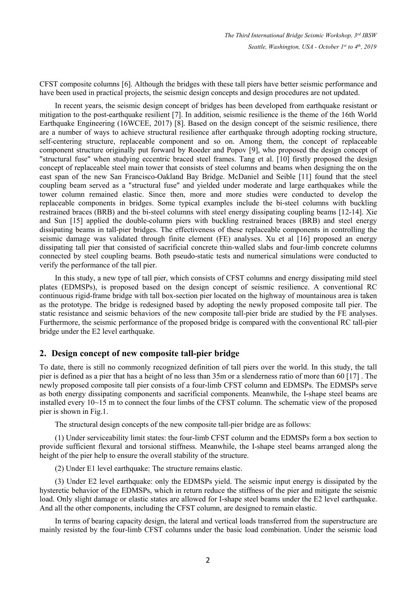CFST composite columns [6]. Although the bridges with these tall piers have better seismic performance and have been used in practical projects, the seismic design concepts and design procedures are not updated.

In recent years, the seismic design concept of bridges has been developed from earthquake resistant or mitigation to the post-earthquake resilient [7]. In addition, seismic resilience is the theme of the 16th World Earthquake Engineering (16WCEE, 2017) [8]. Based on the design concept of the seismic resilience, there are a number of ways to achieve structural resilience after earthquake through adopting rocking structure, self-centering structure, replaceable component and so on. Among them, the concept of replaceable component structure originally put forward by Roederand Popov [9], who proposed the design concept of "structural fuse" when studying eccentric braced steel frames. Tang et al. [10] firstly proposed the design concept of replaceable steel main tower that consists of steel columns and beams when designing the on the east span of the new San Francisco-Oakland Bay Bridge. McDaniel and Seible [11] found that the steel coupling beam served as a "structural fuse" and yielded under moderate and large earthquakes while the tower column remained elastic. Since then, more and more studies were conducted to develop the replaceable components in bridges. Some typical examples include the bi-steel columns with buckling restrained braces (BRB) and the bi-steel columns with steel energy dissipating coupling beams [12-14]. Xie and Sun [15] applied the double-column piers with buckling restrained braces (BRB) and steel energy dissipating beams in tall-pier bridges. The effectiveness of these replaceable components in controlling the seismic damage was validated through finite element (FE) analyses. Xu et al [16] proposed an energy dissipating tall pier that consisted of sacrificial concrete thin-walled slabs and four-limb concrete columns connected by steel coupling beams. Both pseudo-static tests and numerical simulations were conducted to verify the performance of the tall pier.

In this study, a new type of tall pier, which consists of CFST columns and energy dissipating mild steel plates (EDMSPs), is proposed based on the design concept of seismic resilience. A conventional RC continuous rigid-frame bridge with tall box-section pier located on the highway of mountainous area is taken as the prototype. The bridge isredesigned based by adopting the newly proposed composite tall pier. The static resistance and seismic behaviors of the new composite tall-pier bride are studied by the FE analyses. Furthermore, the seismic performance of the proposed bridge is compared with the conventional RC tall-pier bridge under the E2 level earthquake.

### **2. Design concept of new composite tall-pier bridge**

To date, there isstill no commonly recognized definition of tall piers over the world. In this study, the tall pier is defined as a pier that has a height of no less than 35m ora slenderness ratio of more than 60 [17]. The newly proposed composite tall pier consists of a four-limb CFST column and EDMSPs. The EDMSPs serve as both energy dissipating components and sacrificial components. Meanwhile, the I-shape steel beams are installed every 10~15 m to connect the four limbs of the CFST column. The schematic view of the proposed pier is shown in Fig.1.

The structural design concepts of the new composite tall-pier bridge are as follows:

(1) Under serviceability limit states: the four-limb CFST column and the EDMSPs form a box section to provide sufficient flexural and torsional stiffness. Meanwhile, the I-shape steel beams arranged along the height of the pier help to ensure the overall stability of the structure.

(2) Under E1 level earthquake: The structure remains elastic.

(3) Under E2 level earthquake: only the EDMSPs yield.The seismic input energy is dissipated by the hysteretic behavior of the EDMSPs, which in return reduce the stiffness of the pier and mitigate the seismic load. Only slight damage or elastic states are allowed for I-shape steel beams under the E2 level earthquake. And all the other components, including the CFST column, are designed to remain elastic.

In terms of bearing capacity design, the lateral and vertical loads transferred from the superstructure are mainly resisted by the four-limb CFST columns under the basic load combination. Under the seismic load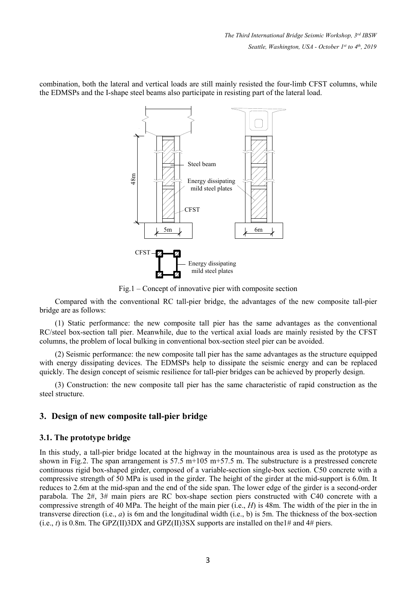combination, both the lateral and vertical loads are still mainly resisted the four-limb CFST columns, while the EDMSPs and the I-shape steel beams also participate in resisting part of the lateral load.



Fig.1 – Concept of innovative pier with composite section

Compared with the conventional RC tall-pier bridge, the advantages of the new composite tall-pier bridge are as follows:

(1) Static performance: the new composite tall pier has the same advantages as the conventional RC/steel box-section tall pier. Meanwhile, due to the vertical axial loads are mainly resisted by the CFST columns, the problem of local bulking in conventional box-section steel pier can be avoided.

(2) Seismic performance: the new composite tall pier has the same advantages as the structure equipped with energy dissipating devices. The EDMSPs help to dissipate the seismic energy and can be replaced quickly. The design concept of seismic resilience for tall-pier bridges can be achieved by properly design.

(3) Construction: the new composite tall pier has the same characteristic of rapid construction as the steel structure.

# **3. Design of new composite tall-pier bridge**

### **3.1. The prototype bridge**

In this study, a tall-pier bridge located at the highway in the mountainous area is used as the prototype as shown in Fig.2. The span arrangement is  $57.5 \text{ m}+105 \text{ m}+57.5 \text{ m}$ . The substructure is a prestressed concrete continuous rigid box-shaped girder, composed of a variable-section single-box section. C50 concrete with a compressive strength of 50 MPa is used in the girder. The height of the girder at the mid-support is 6.0m. It reduces to 2.6m at the mid-span and the end of the side span. The lower edge of the girder is a second-order parabola. The 2#, 3# main piers are RC box-shape section piers constructed with C40 concrete with a compressive strength of 40 MPa. The height of the main pier (i.e., *H*) is 48m. The width of the pier in the in transverse direction (i.e., *a*) is 6m and the longitudinal width (i.e., b) is 5m. The thickness of the box-section  $(i.e., t)$  is 0.8m. The GPZ(II)3DX and GPZ(II)3SX supports are installed on the 1# and 4# piers.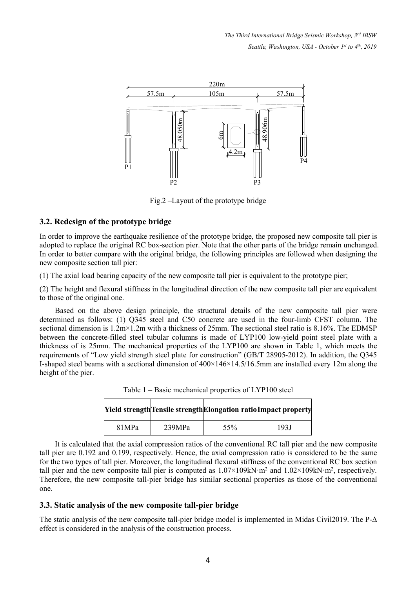*The Third International Bridge Seismic Workshop, 3 rd IBSW Seattle, Washington, USA - October 1 st to 4 th , 2019*



Fig.2 –Layout of the prototype bridge

### **3.2. Redesign of the prototype bridge**

In order to improve the earthquake resilience of the prototype bridge, the proposed new composite tall pier is adopted to replace the original RC box-section pier. Note that the other parts of the bridge remain unchanged. In order to better compare with the original bridge, the following principles are followed when designing the new composite section tall pier:

(1) The axial load bearing capacity of the new composite tall pier is equivalent to the prototype pier;

(2) The height and flexural stiffness in the longitudinal direction of the new composite tall pier are equivalent to those of the original one.

Based on the above design principle, the structural details of the new composite tall pier were determined as follows: (1) Q345 steel and C50 concrete are used in the four-limb CFST column. The sectional dimension is  $1.2 \text{m} \times 1.2 \text{m}$  with a thickness of  $25 \text{mm}$ . The sectional steel ratio is  $8.16\%$ . The EDMSP between the concrete-filled steel tubular columns is made of LYP100 low-yield point steel plate with a thickness of is 25mm. The mechanical properties of the LYP100 are shown in Table 1, which meets the requirements of"Low yield strength steel plate for construction" (GB/T 28905-2012). In addition, the Q345 I-shaped steel beams with a sectional dimension of 400×146×14.5/16.5mm are installed every 12m along the height of the pier.

|       |        |     | [Yield strength Tensile strength Elongation ratio Impact property |
|-------|--------|-----|-------------------------------------------------------------------|
| 81MPa | 239MPa | 55% | 193J                                                              |

Table 1 – Basic mechanical properties of LYP100 steel

It is calculated that the axial compression ratios of the conventional RC tall pier and the new composite tall pier are 0.192 and 0.199, respectively. Hence, the axial compression ratio is considered to be the same for the two types oftall pier. Moreover, the longitudinal flexural stiffness ofthe conventional RC box section tall pier and the new composite tall pier is computed as  $1.07 \times 109$  kN·m<sup>2</sup> and  $1.02 \times 109$  kN·m<sup>2</sup>, respectively. Therefore, the new composite tall-pier bridge has similar sectional properties as those of the conventional one.

### **3.3. Static analysis of the new composite tall-pier bridge**

The static analysis of the new composite tall-pier bridge model is implemented in Midas Civil2019. The P-Δ effect is considered in the analysis of the construction process.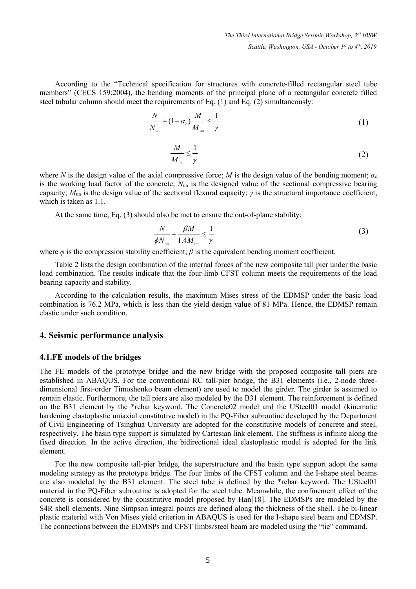According to the "Technical specification for structures with concrete-filled rectangular steel tube members" (CECS 159:2004), the bending moments of the principal plane of a rectangular concrete filled steel tubular column should meet the requirements of Eq.  $(1)$  and Eq.  $(2)$  simultaneously:

$$
\frac{N}{N_{\text{un}}} + (1 - \alpha_{\text{c}}) \frac{M}{M_{\text{un}}} \le \frac{1}{\gamma} \tag{1}
$$

$$
\frac{M}{M_{\rm un}} \le \frac{1}{\gamma} \tag{2}
$$

where *N* is the design value of the axial compressive force; *M* is the design value of the bending moment;  $\alpha_c$ is the working load factor of the concrete; *N*un is the designed value of the sectional compressive bearing capacity; *M*un is the design value of the sectional flexural capacity; *γ* is the structural importance coefficient, which is taken as 1.1.

At the same time, Eq. (3) should also be met to ensure the out-of-plane stability:

$$
\frac{N}{\phi N_{\text{un}}} + \frac{\beta M}{1.4 M_{\text{un}}} \le \frac{1}{\gamma} \tag{3}
$$

where  $\varphi$  is the compression stability coefficient;  $\beta$  is the equivalent bending moment coefficient.

Table 2 lists the design combination of the internal forces of the new composite tall pier under the basic load combination. The results indicate that the four-limb CFST column meets the requirements of the load bearing capacity and stability.

According to the calculation results, the maximum Mises stress of the EDMSP under the basic load combination is 76.2 MPa, which is less than the yield design value of 81 MPa. Hence, the EDMSP remain elastic under such condition.

### **4. Seismic performance analysis**

#### **4.1.FE** models of the bridges

The FE models of the prototype bridge and the new bridge with the proposed composite tall piers are established in ABAQUS. For the conventional RC tall-pier bridge, the B31 elements (i.e., 2-node threedimensional first-order Timoshenko beam element) are used to model the girder. The girder is assumed to remain elastic. Furthermore, the tall piers are also modeled by the B31 element. The reinforcement is defined on the B31 element by the \*rebar keyword. The Concrete02 model and the USteel01 model (kinematic hardening elastoplastic uniaxial constitutive model) in the PQ-Fiber subroutine developed by the Department of Civil Engineering of Tsinghua University are adopted for the constitutive models of concrete and steel, respectively. The basin type support is simulated by Cartesian link element. The stiffness is infinite along the fixed direction. In the active direction, the bidirectional ideal elastoplastic model is adopted for the link element.

For the new composite tall-pier bridge, the superstructure and the basin type support adopt the same modeling strategy as the prototype bridge. The four limbs of the CFST column and the I-shape steel beams are also modeled by the B31 element. The steel tube is defined by the \*rebar keyword. The USteel01 material in the PQ-Fiber subroutine is adopted for the steel tube. Meanwhile, the confinement effect of the concrete is considered by the constitutive model proposed by Han<sup>[18]</sup>. The EDMSPs are modeled by the S4R shell elements. Nine Simpson integral points are defined along the thickness of the shell. The bi-linear plastic material with Von Mises yield criterion in ABAQUS is used for the I-shape steel beam and EDMSP. The connections between the EDMSPs and CFST limbs/steel beam are modeled using the "tie" command.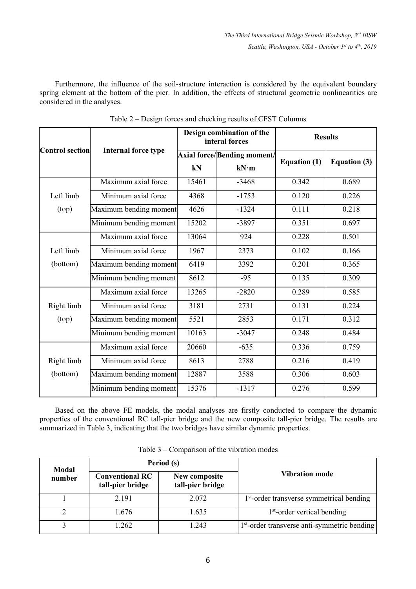*The Third International Bridge Seismic Workshop, 3 rd IBSW Seattle, Washington, USA - October 1 st to 4 th , 2019*

Furthermore, the influence of the soil-structure interaction is considered by the equivalent boundary spring element at the bottom of the pier. In addition, the effects of structural geometric nonlinearities are considered in the analyses.

|                 |                            |       | Design combination of the<br>interal forces |                     | <b>Results</b>      |
|-----------------|----------------------------|-------|---------------------------------------------|---------------------|---------------------|
| Control section | <b>Internal force type</b> |       | Axial force/Bending moment/                 |                     |                     |
|                 |                            | kN    | kN·m                                        | <b>Equation (1)</b> | <b>Equation (3)</b> |
|                 | Maximum axial force        | 15461 | $-3468$                                     | 0.342               | 0.689               |
| Left limb       | Minimum axial force        | 4368  | $-1753$                                     | 0.120               | 0.226               |
| (top)           | Maximum bending moment     | 4626  | $-1324$                                     | 0.111               | 0.218               |
|                 | Minimum bending moment     | 15202 | -3897                                       | 0.351               | 0.697               |
|                 | Maximum axial force        | 13064 | 924                                         | 0.228               | 0.501               |
| Left limb       | Minimum axial force        | 1967  | 2373                                        | 0.102               | 0.166               |
| (bottom)        | Maximum bending moment     | 6419  | 3392                                        | 0.201               | 0.365               |
|                 | Minimum bending moment     | 8612  | $-95$                                       | 0.135               | 0.309               |
|                 | Maximum axial force        | 13265 | $-2820$                                     | 0.289               | 0.585               |
| Right limb      | Minimum axial force        | 3181  | 2731                                        | 0.131               | 0.224               |
| (top)           | Maximum bending moment     | 5521  | 2853                                        | 0.171               | 0.312               |
|                 | Minimum bending moment     | 10163 | $-3047$                                     | 0.248               | 0.484               |
|                 | Maximum axial force        | 20660 | $-635$                                      | 0.336               | 0.759               |
| Right limb      | Minimum axial force        | 8613  | 2788                                        | 0.216               | 0.419               |
| (bottom)        | Maximum bending moment     | 12887 | 3588                                        | 0.306               | 0.603               |
|                 | Minimum bending moment     | 15376 | $-1317$                                     | 0.276               | 0.599               |

Table  $2 -$  Design forces and checking results of CFST Columns

Based on the above FE models, the modal analyses are firstly conducted to compare the dynamic properties of the conventional RC tall-pier bridge and the new composite tall-pier bridge. The results are summarized in Table 3, indicating that the two bridges have similar dynamic properties.

| Modal  |                                            | Period (s)                        |                                                          |
|--------|--------------------------------------------|-----------------------------------|----------------------------------------------------------|
| number | <b>Conventional RC</b><br>tall-pier bridge | New composite<br>tall-pier bridge | <b>Vibration mode</b>                                    |
|        | 2.191                                      | 2.072                             | 1 <sup>st</sup> -order transverse symmetrical bending    |
|        | 1.676                                      | 1.635                             | $1st$ -order vertical bending                            |
|        | l.262                                      | 1.243                             | 1 <sup>st</sup> -order transverse anti-symmetric bending |

Table 3 – Comparison of the vibration modes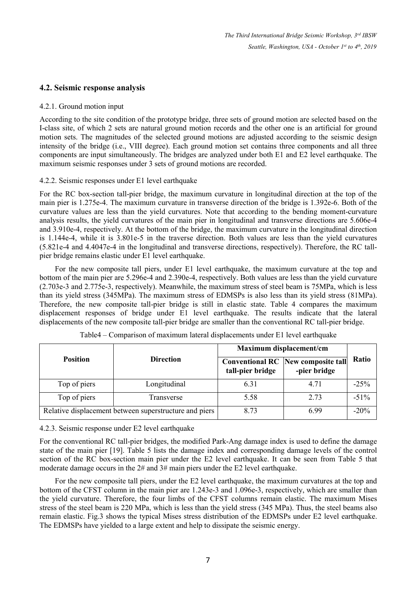*The Third International Bridge Seismic Workshop, 3 rd IBSW Seattle, Washington, USA - October 1 st to 4 th , 2019*

### **4.2. Seismic response analysis**

#### 4.2.1. Ground motion input

According to the site condition of the prototype bridge, three sets of ground motion are selected based on the I-class site, of which 2 sets are natural ground motion records and the other one is an artificial for ground motion sets. The magnitudes of the selected ground motions are adjusted according to the seismic design intensity of the bridge (i.e., VIII degree). Each ground motion set contains three components and all three components are input simultaneously. The bridges are analyzed under both E1 and E2 level earthquake. The maximum seismic responses under 3 sets of ground motions are recorded.

#### 4.2.2. Seismic responses under E1 level earthquake

For the RC box-section tall-pier bridge, the maximum curvature in longitudinal direction at the top of the main pier is 1.275e-4. The maximum curvature in transverse direction of the bridge is1.392e-6. Both of the curvature values are less than the yield curvatures.Note that according to the bending moment-curvature analysis results, the yield curvatures of the main pier in longitudinal and transverse directions are 5.606e-4 and 3.910e-4, respectively. At the bottom of the bridge, the maximum curvature in the longitudinal direction is 1.144e-4, while it is 3.801e-5 in the traverse direction. Both values are less than the yield curvatures (5.821e-4 and 4.4047e-4 in the longitudinal and transverse directions, respectively). Therefore, the RC tall pier bridge remains elastic under E1 level earthquake.

For the new composite tall piers, under E1 level earthquake, the maximum curvature at the top and bottom of the main pier are 5.296e-4 and 2.390e-4, respectively. Both values are less than the yield curvature (2.703e-3 and 2.775e-3, respectively). Meanwhile, the maximum stress ofsteel beam is 75MPa, which is less than its yield stress (345MPa). The maximum stress of EDMSPs is also less than its yield stress (81MPa). Therefore, the new composite tall-pier bridge is still in elastic state. Table 4 compares the maximum displacement responses of bridge under E1 level earthquake. The results indicate that the lateral displacements of the new composite tall-pier bridge are smaller than the conventional RC tall-pier bridge.

|                 |                                                        | Maximum displacement/cm |                                                           |         |  |
|-----------------|--------------------------------------------------------|-------------------------|-----------------------------------------------------------|---------|--|
| <b>Position</b> | <b>Direction</b>                                       | tall-pier bridge        | <b>Conventional RC</b> New composite tall<br>-pier bridge | Ratio   |  |
| Top of piers    | Longitudinal                                           | 6.31                    | 4.71                                                      | $-25%$  |  |
| Top of piers    | Transverse                                             | 5.58                    | 2.73                                                      | $-51\%$ |  |
|                 | Relative displacement between superstructure and piers | 8.73                    | 6.99                                                      | $-20%$  |  |

#### 4.2.3. Seismic response under E2 level earthquake

For the conventional RC tall-pier bridges, the modified Park-Ang damage index is used to define the damage state of the main pier [19]. Table 5 lists the damage index and corresponding damage levels of the control section of the RC box-section main pier under the E2 level earthquake. It can be seen from Table 5 that moderate damage occurs in the 2# and 3# main piers under the E2 level earthquake.

For the new composite tall piers, under the E2 level earthquake, the maximum curvatures at the top and bottom of the CFST column in the main pier are 1.243e-3 and 1.096e-3, respectively, which are smaller than the yield curvature. Therefore, the four limbs of the CFST columns remain elastic. The maximum Mises stress of the steel beam is 220 MPa, which is less than the yield stress (345 MPa). Thus, the steel beams also remain elastic. Fig.3 shows the typical Mises stress distribution of the EDMSPs under E2 level earthquake. The EDMSPs have yielded to a large extent and help to dissipate the seismic energy.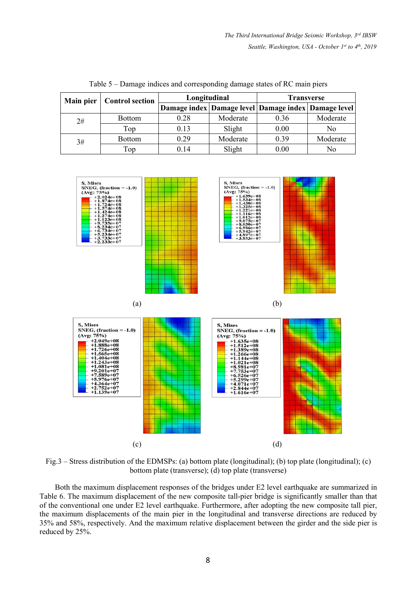| Main pier | <b>Control section</b> | Longitudinal |          | <b>Transverse</b>                                         |          |
|-----------|------------------------|--------------|----------|-----------------------------------------------------------|----------|
|           |                        |              |          | Damage index   Damage level   Damage index   Damage level |          |
| 2#        | <b>Bottom</b>          | 0.28         | Moderate | 0.36                                                      | Moderate |
|           | Top                    | 0.13         | Slight   | 0.00                                                      | No       |
| 3#        | <b>Bottom</b>          | 0.29         | Moderate | 0.39                                                      | Moderate |
|           | Top                    | 0.14         | Slight   | 0.00                                                      | No       |

Table 5 – Damage indices and corresponding damage states of RC main piers



Fig.3 – Stress distribution of the EDMSPs: (a) bottom plate (longitudinal); (b) top plate (longitudinal); (c) bottom plate (transverse); (d) top plate (transverse)

Both the maximum displacement responses of the bridges under E2 level earthquake are summarized in Table 6. The maximum displacement of the new composite tall-pier bridge is significantly smaller than that of the conventional one under E2 level earthquake. Furthermore, after adopting the new composite tall pier, the maximum displacements of the main pier in the longitudinal and transverse directions are reduced by 35% and 58%, respectively. And the maximum relative displacement between the girder and the side pier is reduced by 25%.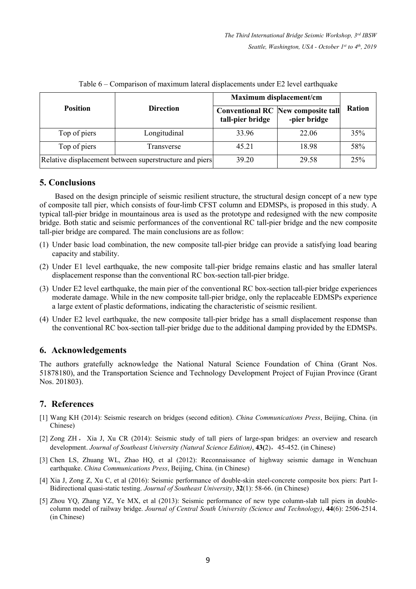|                 |                                                        | Maximum displacement/cm |                                                           |        |
|-----------------|--------------------------------------------------------|-------------------------|-----------------------------------------------------------|--------|
| <b>Position</b> | <b>Direction</b>                                       | tall-pier bridge        | <b>Conventional RC</b> New composite tall<br>-pier bridge | Ration |
| Top of piers    | Longitudinal                                           |                         | 22.06                                                     | 35%    |
| Top of piers    | Transverse                                             | 45.21                   | 18.98                                                     | 58%    |
|                 | Relative displacement between superstructure and piers | 39.20                   | 29.58                                                     | 25%    |

Table 6 – Comparison of maximum lateral displacements under E2 level earthquake

# **5. Conclusions**

Based on the design principle of seismic resilient structure, the structural design concept of a new type of composite tall pier,which consists of four-limb CFST column and EDMSPs, is proposed in this study. A typical tall-pier bridge in mountainous area isused as the prototype and redesigned with the new composite bridge. Both static and seismic performances of the conventional RC tall-pier bridge and the new composite tall-pier bridge are compared. The main conclusions are as follow:

- (1) Under basic load combination, the new composite tall-pier bridge can provide a satisfying load bearing capacity and stability.
- (2) Under E1 level earthquake, the new composite tall-pier bridge remains elastic and has smaller lateral displacement response than the conventional RC box-section tall-pier bridge.
- (3) Under E2 level earthquake, the main pier of the conventional RC box-section tall-pier bridge experiences moderate damage. While in the new composite tall-pier bridge, only the replaceable EDMSPs experience
- <sup>a</sup> large extent of plastic deformations, indicating the characteristic of seismic resilient.(4) Under E2 level earthquake, the new composite tall-pier bridge has <sup>a</sup> small displacement response than the conventional RC box-section tall-pier bridge due to the additional damping provided by the EDMSPs.

# **6. Acknowledgements**

The authors gratefully acknowledge the National Natural Science Foundation of China (Grant Nos. 51878180), and the Transportation Science and Technology Development Project of Fujian Province (Grant Nos. 201803).

# **7. References**

- [1] Wang KH (2014): Seismic research on bridges (second edition). *China Communications Press*, Beijing, China. (in Chinese)
- [2] Zong ZH , Xia J, Xu CR (2014): Seismic study of tall piers of large-span bridges: an overview and research development. *Journal of Southeast Universit*y *(Natural Science Edition)*, **43(**2),45-452. (in Chinese)
- [3] Chen LS, Zhuang WL, Zhao HQ, et al (2012): Reconnaissance of highway seismic damage in Wenchuan earthquake. *China Communications Press*, Beijing, China. (in Chinese)
- [4] Xia J, Zong Z, Xu C, et al (2016): Seismic performance of double-skin steel-concrete composite box piers: Part I- Bidirectional quasi-static testing. *Journal of Southeast University*, **32**(1): 58-66. (in Chinese)
- [5] Zhou YQ, Zhang YZ, Ye MX, et al (2013): Seismic performance of new type column-slab tall piers in double column model of railway bridge. *Journal of Central South University (Science and Technology)*, **44**(6): 2506-2514. (in Chinese)